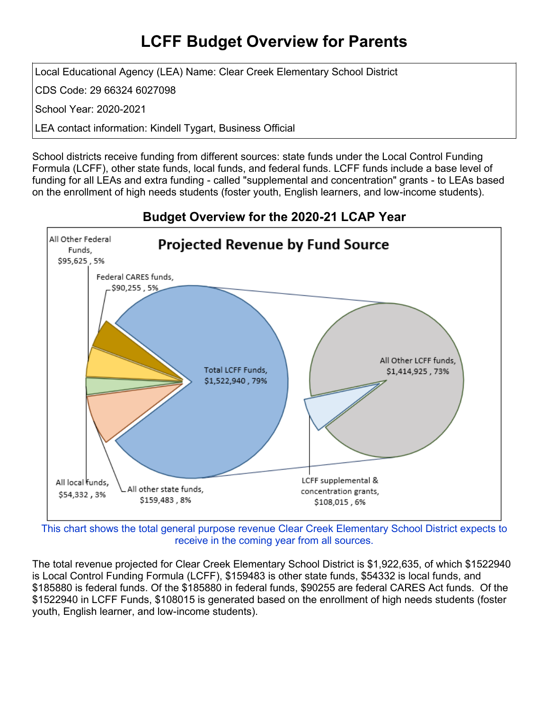## **LCFF Budget Overview for Parents**

Local Educational Agency (LEA) Name: Clear Creek Elementary School District

CDS Code: 29 66324 6027098

School Year: 2020-2021

LEA contact information: Kindell Tygart, Business Official

School districts receive funding from different sources: state funds under the Local Control Funding Formula (LCFF), other state funds, local funds, and federal funds. LCFF funds include a base level of funding for all LEAs and extra funding - called "supplemental and concentration" grants - to LEAs based on the enrollment of high needs students (foster youth, English learners, and low-income students).



### **Budget Overview for the 2020-21 LCAP Year**

This chart shows the total general purpose revenue Clear Creek Elementary School District expects to receive in the coming year from all sources.

The total revenue projected for Clear Creek Elementary School District is \$1,922,635, of which \$1522940 is Local Control Funding Formula (LCFF), \$159483 is other state funds, \$54332 is local funds, and \$185880 is federal funds. Of the \$185880 in federal funds, \$90255 are federal CARES Act funds. Of the \$1522940 in LCFF Funds, \$108015 is generated based on the enrollment of high needs students (foster youth, English learner, and low-income students).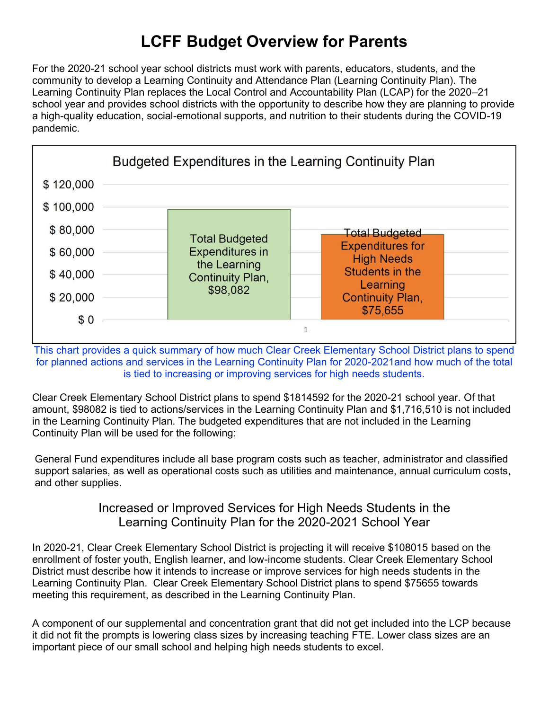# **LCFF Budget Overview for Parents**

For the 2020-21 school year school districts must work with parents, educators, students, and the community to develop a Learning Continuity and Attendance Plan (Learning Continuity Plan). The Learning Continuity Plan replaces the Local Control and Accountability Plan (LCAP) for the 2020–21 school year and provides school districts with the opportunity to describe how they are planning to provide a high-quality education, social-emotional supports, and nutrition to their students during the COVID-19 pandemic.



This chart provides a quick summary of how much Clear Creek Elementary School District plans to spend for planned actions and services in the Learning Continuity Plan for 2020-2021and how much of the total is tied to increasing or improving services for high needs students.

Clear Creek Elementary School District plans to spend \$1814592 for the 2020-21 school year. Of that amount, \$98082 is tied to actions/services in the Learning Continuity Plan and \$1,716,510 is not included in the Learning Continuity Plan. The budgeted expenditures that are not included in the Learning Continuity Plan will be used for the following:

General Fund expenditures include all base program costs such as teacher, administrator and classified support salaries, as well as operational costs such as utilities and maintenance, annual curriculum costs, and other supplies.

#### Increased or Improved Services for High Needs Students in the Learning Continuity Plan for the 2020-2021 School Year

In 2020-21, Clear Creek Elementary School District is projecting it will receive \$108015 based on the enrollment of foster youth, English learner, and low-income students. Clear Creek Elementary School District must describe how it intends to increase or improve services for high needs students in the Learning Continuity Plan. Clear Creek Elementary School District plans to spend \$75655 towards meeting this requirement, as described in the Learning Continuity Plan.

A component of our supplemental and concentration grant that did not get included into the LCP because it did not fit the prompts is lowering class sizes by increasing teaching FTE. Lower class sizes are an important piece of our small school and helping high needs students to excel.